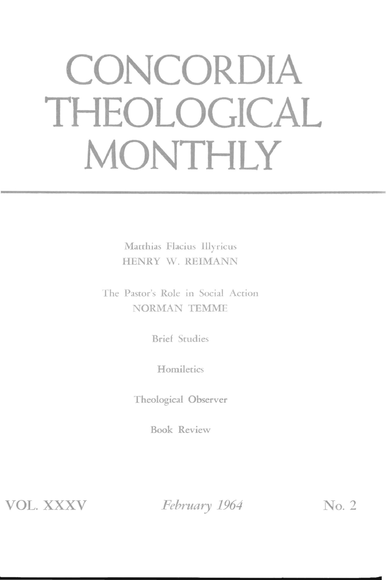# CONCORDIA THEOLOGICAL MONTHLY

Matthias Flacius Illyricus HENRY W. REIMANN

The Pastor's Role in Social Action **NORMAN TEMME** 

**Brief Studies** 

Homiletics

Theological Observer

**Book Review** 

**VOL. XXXV** 

February 1964

No. 2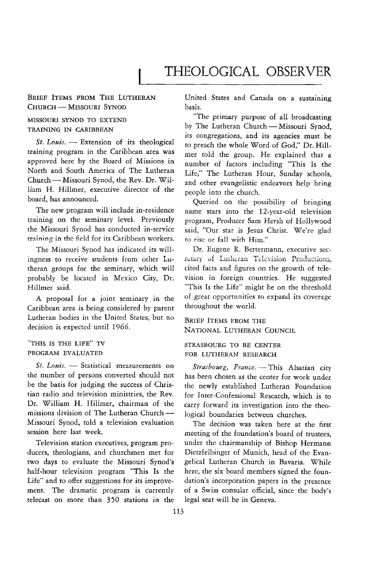### BRIEF ITEMS FROM THE LUTHERAN CHURCH - MISSOURI SYNOD

# MISSOURI SYNOD TO EXTEND TRAINING IN CARIBBEAN

St. Louis. - Extension of its theological training program in the Caribbean area was approved here by the Board of Missions in North and South America of The Lutheran Church - Missouri Synod, the Rev. Dr. William H. Hillmer, executive director of the board, has announced.

The new program will include in-residence training on the seminary level. Previously the Missouri Synod has conducted in-service training in the field for its Caribbean workers.

The Missouri Synod has indicated its will· ingness to receive students from other Lutheran groups for the seminary, which will probably be located in Mexico City, Dr. Hillmer said.

A proposal for a joint seminary in the Caribbean area is being considered by parent Lutheran bodies in the United States, but no decision is expected until 1966.

"THIS IS THE LIFE" TV PROGRAM EVALUATED

St. Louis. - Statistical measurements on the number of persons converted should not be the basis for judging the success of Christian radio and television ministries, the Rev. Dr. William H. Hillmer, chairman of the missions division of The Lutheran Church--Missouri Synod, told a television evaluation session here last week.

Television station executives, program producers, theologians, and churchmen met for two days to evaluate the Missouri Synod's half-hour television program "This Is the Life" and to offer suggestions for its improvement. The dramatic program is currently telecast on more than 350 stations in the United States and Canada on a sustaining basis.

"The primary purpose of all broadcasting by The Lutheran Church - Missouri Synod. its congregations, and its agencies must be to preach the whole Word of God," Dr. Hillmer told the group. He explained that a number of factors including "This Is the Life," The Lutheran Hour, Sunday schools, and other evangelistic endeavors help bring people into the church.

Queried on the possibility of bringing name stars into the 12-year-old television program, Producer Sam Hersh of Hollywood said, "Our star is Jesus Christ. We're glad to rise or fall with Him."

Dr. Eugene R. Bertermann, executive secretary of Lutheran Television Productions, cited facts and figures on the growth of tele· vision in foreign countries. He suggested "This Is the Life" might be on the threshold of great opportunities to expand its coverage throughout the world.

BRIEF ITEMS FROM THE NATIONAL LUTHERAN COUNCIL

### STRASBOURG TO BE CENTER FOR LUTHERAN RESEARCH

Strasbourg, France. - This Alsatian city has been chosen as the center for work under the newly established Lutheran Foundation for Inter-Confessional Research, which is to carry forward its investigation into the theological boundaries between churches.

The decision was taken here at the first meeting of the foundation's board of trustees, under the chairmanship of Bishop Hermann Dietzfelbinger of Munich, head of the Evangelical Lutheran Church in Bavaria. While here, the six board members signed the foun· dation's incorporation papers in the presence of a Swiss consular official, since the body's legal seat will be in Geneva.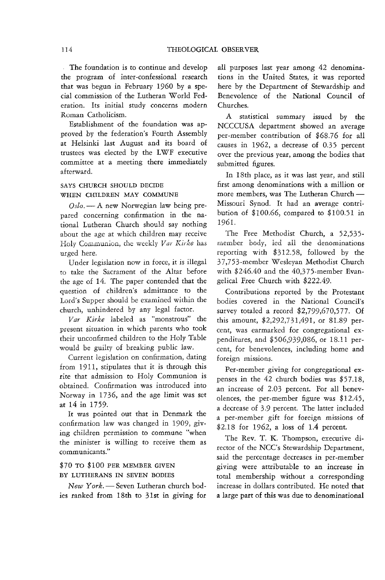The foundation is to continue and develop the program of inter-confessional research that was begun in February 1960 by a special commission of the Lutheran World Federation. Its initial study concerns modern Roman Catholicism.

Establishment of the foundation was approved by the federation's Fourth Assembly at Helsinki last August and its board of trustees was elected by the LWF executive committee at a meeting there immediately afterward.

### SAYS CHURCH SHOULD DECIDE WHEN CHILDREN MAY COMMUNE

 $Oslo. - A$  new Norwegian law being prepared concerning confirmation in the national Lutheran Church should say nothing about the age at which children may receive Holy Communion, the weekly *Var Kirke* has urged here.

Under legislation now in force, it is illegal to take the Sacrament of the Altar before the age of 14. The paper contended that the question of children's admittance to the Lord's Supper should be examined within the church, unhindered by any legal factor.

*Vat" Kirke* labeled as "monstrous" the present situation in which parents who took their unconfirmed children to the Holy Table would be guilty of breaking public law.

Current legislation on confirmation, dating from 1911, stipulates that it is through this rite that admission to Holy Communion is obtained. Confirmation was introduced into Norway in 1736, and the age limit was set at 14 in 1759.

It was pointed out that in Denmark the confirmation law was changed in 1909, giving children permission to commune "when the minister is willing to receive them as communicants."

# \$70 TO \$100 PER MEMBER GIVEN BY LUTHERANS IN SEVEN BODIES

*New York.* - Seven Lutheran church bodies ranked from 18th to 31st in giving for

all purposes last year among 42 denominations in the United States, it was reported here by the Department of Stewardship and Benevolence of the National Council of Churches.

A statistical summary issued by the NCCCUSA department showed an average per-member contribution of \$68.76 for all causes in 1962, a decrease of 0.35 percent over the previous year, among the bodies that submitted figures.

In 18th place, as it was last year, and still first among denominations with a million or more members, was The Lutheran Church-Missouri Synod. It had an average contribution of \$100.66, compared to \$100.51 in 1961.

The Free Methodist Church, a 52,535 member body, led all the denominations reporting with \$312.58, followed by the 37,753-member Wesleyan Methodist Church with \$246.40 and the 40,375-member Evangelical Free Church with \$222.49.

Contributions reported by the Protestant bodies covered in the National Council's survey totaled a record \$2,799,670,577. Of this amount, \$2,292,731,491, or 81.89 percent, was earmarked for congregational expenditures, and \$506,939,086, or 18.11 percent, for benevolences, including home and foreign missions.

Per-member giving for congregational expenses in the 42 church bodies was \$57.18, an increase of 2.03 percent. For all benevolences, the per-member figure was \$12.45, a decrease of 3.9 percent. The latter included a per-member gift for foreign missions of \$2.18 for 1962, a loss of 1.4 percent.

The Rev. T. K. Thompson, executive director of the NCC's Stewardship Department, said the percentage decreases in per-member giving were attributable to an increase in total membership without a corresponding increase in dollars contributed. He noted that a large part of this was due to denominational